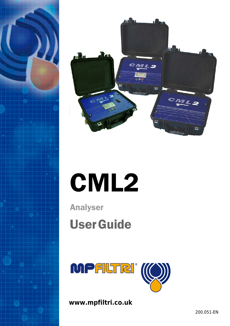



# CML2

Analyser UserGuide



**www.mpfiltri.co.uk**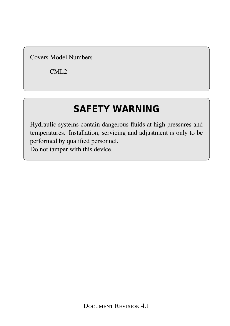Covers Model Numbers

CML2

# **SAFETY WARNING**

Hydraulic systems contain dangerous fluids at high pressures and temperatures. Installation, servicing and adjustment is only to be performed by qualified personnel.

Do not tamper with this device.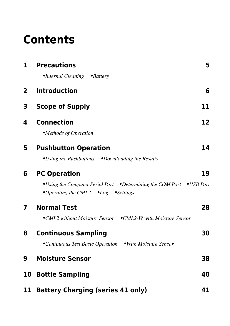# **Contents**

| 1            | <b>Precautions</b>                                                                                        | 5  |
|--------------|-----------------------------------------------------------------------------------------------------------|----|
|              | •Internal Cleaning<br>$\bullet$ <i>Battery</i>                                                            |    |
| $\mathbf{2}$ | <b>Introduction</b>                                                                                       | 6  |
| 3            | <b>Scope of Supply</b>                                                                                    | 11 |
| 4            | <b>Connection</b>                                                                                         | 12 |
|              | <i>•Methods of Operation</i>                                                                              |    |
| 5            | <b>Pushbutton Operation</b>                                                                               | 14 |
|              | •Using the Pushbuttons •Downloading the Results                                                           |    |
| 6            | <b>PC Operation</b>                                                                                       | 19 |
|              | •Using the Computer Serial Port •Determining the COM Port •USB Port<br>•Operating the CML2 •Log •Settings |    |
| 7            | <b>Normal Test</b>                                                                                        | 28 |
|              | •CML2 without Moisture Sensor •CML2-W with Moisture Sensor                                                |    |
| 8            | <b>Continuous Sampling</b>                                                                                | 30 |
|              | •Continuous Test Basic Operation • With Moisture Sensor                                                   |    |
| 9            | <b>Moisture Sensor</b>                                                                                    | 38 |
| 10           | <b>Bottle Sampling</b>                                                                                    | 40 |
| 11           | <b>Battery Charging (series 41 only)</b>                                                                  | 41 |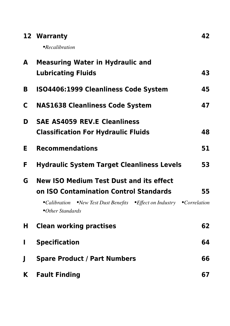|    | 12 Warranty<br>$\bullet$ Recalibration                                                                                                                                                | 42 |
|----|---------------------------------------------------------------------------------------------------------------------------------------------------------------------------------------|----|
| A  | <b>Measuring Water in Hydraulic and</b><br><b>Lubricating Fluids</b>                                                                                                                  | 43 |
| B  | ISO4406:1999 Cleanliness Code System                                                                                                                                                  | 45 |
| C  | <b>NAS1638 Cleanliness Code System</b>                                                                                                                                                | 47 |
| D  | <b>SAE AS4059 REV.E Cleanliness</b><br><b>Classification For Hydraulic Fluids</b>                                                                                                     | 48 |
| Е  | <b>Recommendations</b>                                                                                                                                                                | 51 |
| F  | <b>Hydraulic System Target Cleanliness Levels</b>                                                                                                                                     | 53 |
| G  | <b>New ISO Medium Test Dust and its effect</b><br>on ISO Contamination Control Standards<br>•Calibration •New Test Dust Benefits •Effect on Industry •Correlation<br>•Other Standards | 55 |
| H. | <b>Clean working practises</b>                                                                                                                                                        | 62 |
| I  | <b>Specification</b>                                                                                                                                                                  | 64 |
| J  | <b>Spare Product / Part Numbers</b>                                                                                                                                                   | 66 |
| K  | <b>Fault Finding</b>                                                                                                                                                                  | 67 |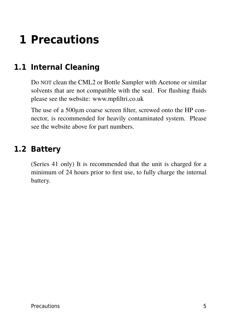# <span id="page-4-0"></span>**1 Precautions**

# **1.1 Internal Cleaning**

Do NOT clean the CML2 or Bottle Sampler with Acetone or similar solvents that are not compatible with the seal. For flushing fluids please see the website: www.mpfiltri.co.uk

The use of a 500μm coarse screen filter, screwed onto the HP connector, is recommended for heavily contaminated system. Please see the website above for part numbers.

### **1.2 Battery**

(Series 41 only) It is recommended that the unit is charged for a minimum of 24 hours prior to first use, to fully charge the internal battery.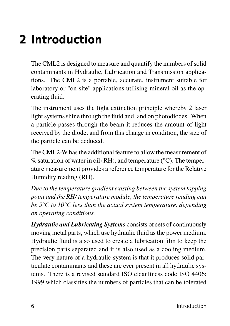# <span id="page-5-0"></span>**2 Introduction**

The CML2 is designed to measure and quantify the numbers of solid contaminants in Hydraulic, Lubrication and Transmission applications. The CML2 is a portable, accurate, instrument suitable for laboratory or "on-site" applications utilising mineral oil as the operating fluid.

The instrument uses the light extinction principle whereby 2 laser light systems shine through the fluid and land on photodiodes. When a particle passes through the beam it reduces the amount of light received by the diode, and from this change in condition, the size of the particle can be deduced.

The CML2-W has the additional feature to allow the measurement of  $\%$  saturation of water in oil (RH), and temperature ( $\degree$ C). The temperature measurement provides a reference temperature for the Relative Humidity reading (RH).

*Due to the temperature gradient existing between the system tapping point and the RH/ temperature module, the temperature reading can be 5°C to 10°C less than the actual system temperature, depending on operating conditions.*

*Hydraulic and Lubricating Systems* consists of sets of continuously moving metal parts, which use hydraulic fluid as the power medium. Hydraulic fluid is also used to create a lubrication film to keep the precision parts separated and it is also used as a cooling medium. The very nature of a hydraulic system is that it produces solid particulate contaminants and these are ever present in all hydraulic systems. There is a revised standard ISO cleanliness code ISO 4406: 1999 which classifies the numbers of particles that can be tolerated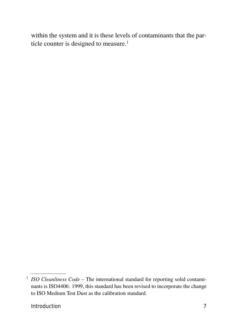within the system and it is these levels of contaminants that the particle counter is designed to measure.<sup>1</sup>

<sup>&</sup>lt;sup>1</sup> ISO Cleanliness Code – The international standard for reporting solid contaminants is ISO4406: 1999, this standard has been revised to incorporate the change to ISO Medium Test Dust as the calibration standard.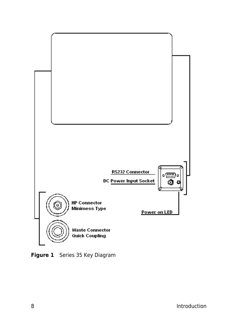<span id="page-7-0"></span>

**Figure 1** Series 35 Key Diagram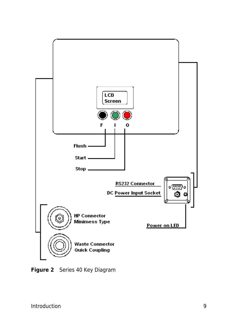

**Figure 2** Series 40 Key Diagram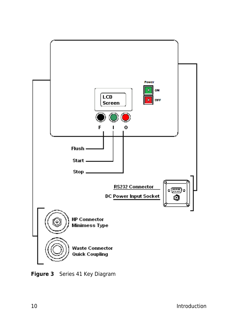

**Figure 3** Series 41 Key Diagram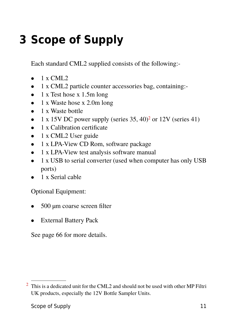# <span id="page-10-0"></span>**3 Scope of Supply**

Each standard CML2 supplied consists of the following:-

- $\bullet$  1 x CML<sub>2</sub>
- 1 x CML2 particle counter accessories bag, containing:-
- 1 x Test hose x 1.5m long
- 1 x Waste hose x 2.0m long
- 1 x Waste bottle
- 1 x 15V DC power supply (series  $35, 40$ )<sup>2</sup> or 12V (series 41)
- 1 x Calibration certificate
- 1 x CML2 User guide
- 1 x LPA-View CD Rom, software package
- 1 x LPA-View test analysis software manual
- 1 x USB to serial converter (used when computer has only USB ports)
- 1 x Serial cable

### Optional Equipment:

- 500 µm coarse screen filter
- External Battery Pack

See [page 66](#page-65-0) for more details.

 $2$  This is a dedicated unit for the CML2 and should not be used with other MP Filtri UK products, especially the 12V Bottle Sampler Units.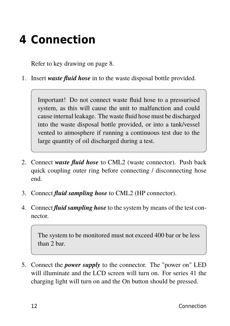# <span id="page-11-0"></span>**4 Connection**

Refer to key drawing on [page 8](#page-7-0).

1. Insert *waste fluid hose* in to the waste disposal bottle provided.

Important! Do not connect waste fluid hose to a pressurised system, as this will cause the unit to malfunction and could cause internal leakage. The waste fluid hose must be discharged into the waste disposal bottle provided, or into a tank/vessel vented to atmosphere if running a continuous test due to the large quantity of oil discharged during a test.

- 2. Connect *waste fluid hose* to CML2 (waste connector). Push back quick coupling outer ring before connecting / disconnecting hose end.
- 3. Connect *fluid sampling hose* to CML2 (HP connector).
- 4. Connect *fluid sampling hose* to the system by means of the test connector.

The system to be monitored must not exceed 400 bar or be less than 2 bar.

5. Connect the *power supply* to the connector. The "power on" LED will illuminate and the LCD screen will turn on. For series 41 the charging light will turn on and the On button should be pressed.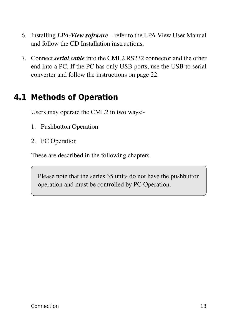- <span id="page-12-0"></span>6. Installing *LPA-View software* – refer to the LPA-View User Manual and follow the CD Installation instructions.
- 7. Connect *serial cable* into the CML2 RS232 connector and the other end into a PC. If the PC has only USB ports, use the USB to serial converter and follow the instructions on [page 22.](#page-21-0)

### **4.1 Methods of Operation**

Users may operate the CML2 in two ways:-

- 1. Pushbutton Operation
- 2. PC Operation

These are described in the following chapters.

Please note that the series 35 units do not have the pushbutton operation and must be controlled by PC Operation.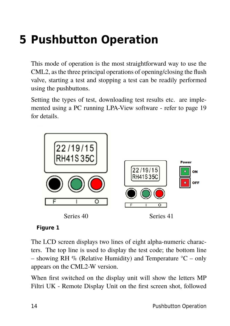# <span id="page-13-0"></span>**5 Pushbutton Operation**

This mode of operation is the most straightforward way to use the CML2, as the three principal operations of opening/closing the flush valve, starting a test and stopping a test can be readily performed using the pushbuttons.

Setting the types of test, downloading test results etc. are implemented using a PC running LPA-View software - refer to [page 19](#page-18-0) for details.



#### **Figure 1**

The LCD screen displays two lines of eight alpha-numeric characters. The top line is used to display the test code; the bottom line – showing RH % (Relative Humidity) and Temperature  ${}^{\circ}C$  – only appears on the CML2-W version.

When first switched on the display unit will show the letters MP Filtri UK - Remote Display Unit on the first screen shot, followed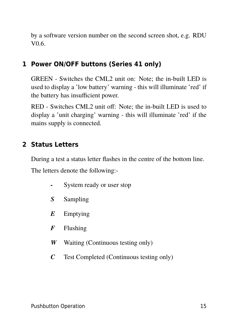by a software version number on the second screen shot, e.g. RDU V0.6.

### **1 Power ON/OFF buttons (Series 41 only)**

GREEN - Switches the CML2 unit on: Note; the in-built LED is used to display a 'low battery' warning - this will illuminate 'red' if the battery has insufficient power.

RED - Switches CML2 unit off: Note; the in-built LED is used to display a 'unit charging' warning - this will illuminate 'red' if the mains supply is connected.

### **2 Status Letters**

During a test a status letter flashes in the centre of the bottom line.

The letters denote the following:-

- *-* System ready or user stop
- *S* Sampling
- *E* Emptying
- *F* Flushing
- *W* Waiting (Continuous testing only)
- *C* Test Completed (Continuous testing only)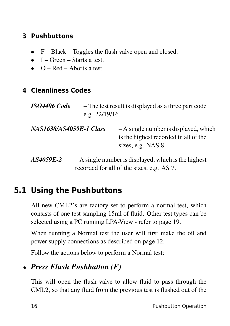### <span id="page-15-0"></span>**3 Pushbuttons**

- $\bullet$  F Black Toggles the flush valve open and closed.
- $\bullet$  I Green Starts a test.
- $\bullet$  O Red Aborts a test.

### **4 Cleanliness Codes**

| <b>ISO4406 Code</b> | - The test result is displayed as a three part code |
|---------------------|-----------------------------------------------------|
|                     | e.g. 22/19/16.                                      |

| <b>NAS1638/AS4059E-1 Class</b> | $-A$ single number is displayed, which |
|--------------------------------|----------------------------------------|
|                                | is the highest recorded in all of the  |
|                                | sizes, e.g. NAS 8.                     |

*AS4059E-2* – A single number is displayed, which is the highest recorded for all of the sizes, e.g. AS 7.

# **5.1 Using the Pushbuttons**

All new CML2's are factory set to perform a normal test, which consists of one test sampling 15ml of fluid. Other test types can be selected using a PC running LPA-View - refer to [page 19.](#page-18-0)

When running a Normal test the user will first make the oil and power supply connections as described on [page 12.](#page-11-0)

Follow the actions below to perform a Normal test:

### • *Press Flush Pushbutton (F)*

This will open the flush valve to allow fluid to pass through the CML2, so that any fluid from the previous test is flushed out of the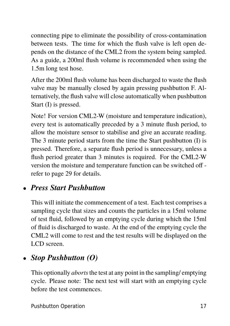connecting pipe to eliminate the possibility of cross-contamination between tests. The time for which the flush valve is left open depends on the distance of the CML2 from the system being sampled. As a guide, a 200ml flush volume is recommended when using the 1.5m long test hose.

After the 200ml flush volume has been discharged to waste the flush valve may be manually closed by again pressing pushbutton F. Alternatively, the flush valve will close automatically when pushbutton Start (I) is pressed.

Note! For version CML2-W (moisture and temperature indication), every test is automatically preceded by a 3 minute flush period, to allow the moisture sensor to stabilise and give an accurate reading. The 3 minute period starts from the time the Start pushbutton (I) is pressed. Therefore, a separate flush period is unnecessary, unless a flush period greater than 3 minutes is required. For the CML2-W version the moisture and temperature function can be switched off refer to [page 29](#page-28-0) for details.

### • *Press Start Pushbutton*

This will initiate the commencement of a test. Each test comprises a sampling cycle that sizes and counts the particles in a 15ml volume of test fluid, followed by an emptying cycle during which the 15ml of fluid is discharged to waste. At the end of the emptying cycle the CML2 will come to rest and the test results will be displayed on the LCD screen.

### • *Stop Pushbutton (O)*

This optionally *aborts*the test at any point in the sampling/ emptying cycle. Please note: The next test will start with an emptying cycle before the test commences.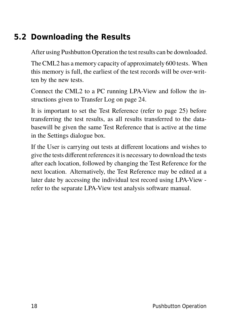# <span id="page-17-0"></span>**5.2 Downloading the Results**

After using Pushbutton Operation the test results can be downloaded.

The CML2 has a memory capacity of approximately 600 tests. When this memory is full, the earliest of the test records will be over-written by the new tests.

Connect the CML2 to a PC running LPA-View and follow the instructions given to Transfer Log on [page 24.](#page-23-0)

It is important to set the Test Reference (refer to [page 25\)](#page-24-0) before transferring the test results, as all results transferred to the databasewill be given the same Test Reference that is active at the time in the Settings dialogue box.

If the User is carrying out tests at different locations and wishes to give the tests different references it is necessary to download the tests after each location, followed by changing the Test Reference for the next location. Alternatively, the Test Reference may be edited at a later date by accessing the individual test record using LPA-View refer to the separate LPA-View test analysis software manual.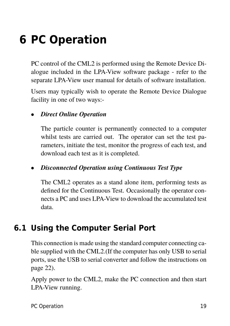# <span id="page-18-0"></span>**6 PC Operation**

PC control of the CML2 is performed using the Remote Device Dialogue included in the LPA-View software package - refer to the separate LPA-View user manual for details of software installation.

Users may typically wish to operate the Remote Device Dialogue facility in one of two ways:-

#### • *Direct Online Operation*

The particle counter is permanently connected to a computer whilst tests are carried out. The operator can set the test parameters, initiate the test, monitor the progress of each test, and download each test as it is completed.

#### • *Disconnected Operation using Continuous Test Type*

The CML2 operates as a stand alone item, performing tests as defined for the Continuous Test. Occasionally the operator connects a PC and uses LPA-View to download the accumulated test data.

### **6.1 Using the Computer Serial Port**

This connection is made using the standard computer connecting cable supplied with the CML2.(If the computer has only USB to serial ports, use the USB to serial converter and follow the instructions on [page 22\)](#page-21-0).

Apply power to the CML2, make the PC connection and then start LPA-View running.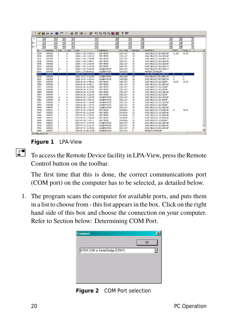|          | $\n  B\n$<br>$\mathbb{R}$ X<br> P <br>DGBDXIDICI<br> P <br>ହ<br>亀<br>$F_1 F_2 F_3 F_4 K$ m |                          |                          |                          |                          |                          |                          |                          |                          |                          |                          |
|----------|--------------------------------------------------------------------------------------------|--------------------------|--------------------------|--------------------------|--------------------------|--------------------------|--------------------------|--------------------------|--------------------------|--------------------------|--------------------------|
| $\equiv$ | $\overline{\phantom{a}}$                                                                   | ≖                        | ≛                        | ▼                        | $\overline{\phantom{a}}$ | $\overline{\phantom{a}}$ | ▼                        | $\blacktriangledown$     | ▼                        | $\overline{\phantom{a}}$ | $\overline{\phantom{a}}$ |
| >,=      | $\overline{\phantom{0}}$                                                                   | ▼                        | ▼                        | $\overline{\phantom{0}}$ | $\overline{\phantom{0}}$ | $\overline{\phantom{0}}$ | $\overline{\phantom{0}}$ | $\overline{\phantom{0}}$ | $\overline{\phantom{a}}$ | $\overline{\phantom{0}}$ | $\cdot$                  |
| k,=      | $\overline{\phantom{a}}$                                                                   | $\overline{\phantom{a}}$ | $\overline{\phantom{0}}$ | $\blacktriangledown$     | $\overline{\phantom{0}}$ | $\overline{\phantom{0}}$ | $\overline{\phantom{a}}$ | $\overline{\phantom{a}}$ | $\blacktriangledown$     | $\blacktriangledown$     | $\overline{\phantom{0}}$ |
|          | ID                                                                                         | Machine                  | Test                     | Type                     | Time                     | Reference                | ISO Code                 | NAS/AS1                  | AS4059E-2                | RH%                      | Temp.'C                  |
|          | 3539                                                                                       | 005158                   | 6                        | $\mathbf{0}$             | 2008-11-04 13:58:29      | CERTIFIED                | 22/21/17                 | 15                       | 15A/15B/11C/12D/10E/10F  | 21.68                    | 32.59                    |
|          | 3538                                                                                       | 005158                   | 5                        | $\bf{0}$                 | 2008-11-04 13:02:28      | CERTIFIED                | 22/21/17                 | 15                       | 15A/15B/12C/12D/11E/10F  |                          |                          |
|          | 3537                                                                                       | 005158                   | 4                        | 0                        | 2008-11-04 12:54:08      | CERTIFIED                | 22/21/17                 | 15                       | 15A/15B/11C/12D/10E/11F  |                          |                          |
|          | 3536                                                                                       | 005158                   | 3                        | 0                        | 2008-11-04 12:48:51      | CERTIFIED                | 22/21/17                 | 15                       | 15A/15B/11C/12D/11E/10F  |                          |                          |
|          | 3535                                                                                       | 005158                   | $\overline{\mathbf{c}}$  | $\mathbf{0}$             | 2008-11-04 12:43:39      | CERTIFIED                | 22/21/17                 | 15                       | 15A/15B/11C/12D/11E/10F  |                          |                          |
|          | 3534                                                                                       | 005158                   | $\mathbf{1}$             | 3                        | 2008-11-04 12:37:48      | CERTIFIED                | 23/21/17                 | 15                       | 15A/15B/12C/12D/11E/11F  |                          |                          |
|          | 3533                                                                                       | 005158                   | 10                       | $\mathbf{0}$             | 2008-11-03 15:04:55      | CALIBRATION              | 22/21/17                 | 15                       | 15A/15B/12C/12D/11E/11F  |                          |                          |
|          | 3532                                                                                       | 005158                   | $\ddot{\mathbf{r}}$      | 3                        | 2008-11-03 09:40:32      | CALIBRATION              | 19/18/13                 | 10                       | 9A/9B/7C/9D/6E/0F        |                          |                          |
|          | 3531                                                                                       | 005158                   | 3                        | 7                        | 2008-10-27 14:23:18      | CALIBRATION              | 24/22/20                 | 15                       | 15A/15B/15C/15D/15E/12F  | n                        | 'n                       |
|          | 3530                                                                                       | 005158                   | $\mathbf{2}$             | $\mathbf{2}$             | 2008-10-27 14:22:56      | CALIBRATION              | 24/22/20                 | 15                       | 15A/15B/15C/15D/15E/12F  | $\mathbf{0}$             | $\bf{0}$                 |
|          | 3529                                                                                       | 005158                   | $\mathbf{1}$             | 2                        | 2008-10-27 14:22:44      | CALIBRATION              | 24/22/20                 | 15                       | 15A/15B/15C/15D/15E/12F  | $\Omega$                 | n.                       |
|          | 3559                                                                                       | 005099                   | 6                        | $\bf{0}$                 | 2008-02-26 16:58:26      | CERTIFIED                | 23/21/17                 | 15                       | 15A/15B/12C/12D/10E/9F   | 20.57                    | 35.98                    |
|          | 3558                                                                                       | 005099                   | 5                        | $\mathbf{0}$             | 2008-02-26 16:48:21      | CERTIFIED                | 23/21/17                 | 15                       | 15A/15B/12C/12D/10E/10F  |                          |                          |
|          | 3557                                                                                       | 005099                   | 4                        | $\bf{0}$                 | 2008-02-26 16:39:44      | CERTIFIED                | 23/21/17                 | 15                       | 15A/15B/12C/12D/11E/8F   |                          |                          |
|          | 3556                                                                                       | 005099                   | 3                        | 0                        | 2008-02-26 16:33:57      | CERTIFIED                | 23/21/17                 | 15                       | 15A/15B/12C/12D/10E/9F   |                          |                          |
|          | 3555                                                                                       | 005099                   | $\overline{c}$           | $\mathbf{0}$             | 2008-02-26 16:27:58      | CERTIFIED                | 23/21/17                 | 15                       | 15A/15B/12C/12D/11E/10F  |                          |                          |
|          | 3554                                                                                       | 005099                   | $\mathbf{1}$             | 3                        | 2008-02-26 16:22:03      | CERTIFIED                | 23/21/17                 | 15                       | 15A/15B/12C/12D/11E/9F   |                          |                          |
|          | 3553                                                                                       | 005099                   | 11                       | $\bf{0}$                 | 2008-02-26 14:07:05      | CALIBRATION              | 22/21/17                 | 15                       | 15A/15B/11C/12D/11E/10F  |                          |                          |
|          | 3552                                                                                       | 005099                   | 10                       | o                        | 2008-02-26 13:57:43      | CALIBRATION              | 23/21/17                 | 15                       | 15A/15B/11C/12D/10E/9F   |                          |                          |
|          | 3551                                                                                       | 005099                   | 9                        | $\bf{0}$                 | 2008-02-26 11:30:09      | CALIBRATION              | 22/21/17                 | 15                       | 15A/15B/11C/12D/11E/10F  |                          |                          |
|          | 3550                                                                                       | 005099                   | 8                        | $\mathbf{0}$             | 2008-02-26 11:23:23      | CALIBRATION              | 22/21/17                 | 15                       | 15A/15B/11C/12D/10E/9F   |                          |                          |
|          | 3549                                                                                       | 005099                   | 7                        | 0                        | 2008-02-26 11:17:42      | CALIBRATION              | 22/21/17                 | 15                       | 15A/15B/11C/12D/11E/10F  |                          |                          |
|          | 3548                                                                                       | 005021                   | 5                        | $\mathbf{0}$             | 2007-07-20 12:25:35      | CERTIFIED                | 22/20/16                 | 12                       | 12A/12B/11C/11D/10E/10F  | $\mathbf{0}$             | 30.59                    |
|          | 3547                                                                                       | 005021                   | 4                        | $\bf{0}$                 | 2007-07-20 12:15:46      | CERTIFIED                | 21/20/16                 | 12                       | 12A/12B/11C/11D/10E/10F  |                          |                          |
|          | 3546                                                                                       | 005021                   | 3                        | 0                        | 2007-07-20 12:09:57      | CERTIFIED                | 21/20/16                 | 12                       | 12A/12B/11C/11D/10E/10F  |                          |                          |
|          | 3545                                                                                       | 005021                   | $\overline{c}$           | $\theta$                 | 2007-07-20 12:04:06      | CERTIFIED                | 21/20/16                 | 12                       | 12A/12B/10C/11D/10E/10F  |                          |                          |
|          | 3544                                                                                       | 005021                   | $\mathbf{1}$             | 3                        | 2007-07-20 11:57:11      | CERTIFIED                | 21/20/16                 | 12                       | 12A/12B/11C/11D/10E/9F   |                          |                          |
|          | 3543                                                                                       | 005021                   | 9                        | $\bf{0}$                 | 2007-07-17 16:47:29      | CALIBRATION              | 22/21/17                 | 15                       | 15A/15B/11C/12D/11E/10F  |                          |                          |
|          | 3542                                                                                       | 005021                   | 8                        | 0                        | 2007-07-17 16:41:37      | CALIBRATION              | 22/21/17                 | 15                       | 15A/15B/11C/12D/10E/10F  |                          |                          |
|          | 3541                                                                                       | 005021                   | 7                        | 0                        | 2007-07-17 16:35:50      | CALIBRATION              | 22/21/17                 | 15                       | 15A/15B/11C/12D/11E/10F  |                          |                          |
|          | 3540                                                                                       | 005021                   | $\mathbf{1}$             | 3                        | 2007-07-17 09:17:50      | CALIBRATION              | 16/14/12                 | 8                        | 6A/6B/7C/8D/6E/0F        |                          | $\overline{\phantom{0}}$ |
|          | For Help, press F1                                                                         |                          |                          |                          |                          |                          |                          |                          |                          |                          | /i                       |

#### **Figure 1** LPA-View

[r¶

To access the Remote Device facility in LPA-View, press the Remote Control button on the toolbar.

The first time that this is done, the correct communications port (COM port) on the computer has to be selected, as detailed below.

1. The program scans the computer for available ports, and puts them in a list to choose from - this list appears in the box. Click on the right hand side of this box and choose the connection on your computer. Refer to Section below: Determining COM Port.



**Figure 2** COM Port selection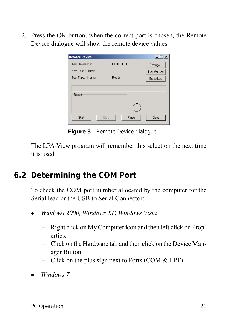<span id="page-20-0"></span>2. Press the OK button, when the correct port is chosen, the Remote Device dialogue will show the remote device values.

| <b>Remote Device</b> |               | $-1$         |
|----------------------|---------------|--------------|
| Test Reference:      | CERTIFIED     | Settings     |
| Next Test Number:    |               | Transfer Log |
| Test Type: Normal    | Ready         | Erase Log    |
|                      |               |              |
| Result               |               |              |
| Start                | Flush<br>Stop | Close        |

**Figure 3** Remote Device dialogue

The LPA-View program will remember this selection the next time it is used.

# **6.2 Determining the COM Port**

To check the COM port number allocated by the computer for the Serial lead or the USB to Serial Connector:

- *Windows 2000, Windows XP, Windows Vista*
	- − Right click on My Computer icon and then left click on Properties.
	- − Click on the Hardware tab and then click on the Device Manager Button.
	- − Click on the plus sign next to Ports (COM & LPT).
- *Windows 7*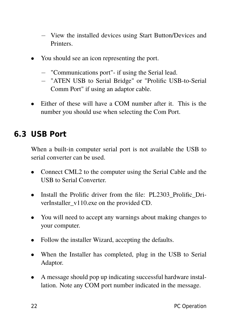- <span id="page-21-0"></span>− View the installed devices using Start Button/Devices and Printers.
- You should see an icon representing the port.
	- − "Communications port"- if using the Serial lead.
	- − "ATEN USB to Serial Bridge" or "Prolific USB-to-Serial Comm Port" if using an adaptor cable.
- Either of these will have a COM number after it. This is the number you should use when selecting the Com Port.

# **6.3 USB Port**

When a built-in computer serial port is not available the USB to serial converter can be used.

- Connect CML2 to the computer using the Serial Cable and the USB to Serial Converter.
- Install the Prolific driver from the file: PL2303 Prolific DriverInstaller\_v110.exe on the provided CD.
- You will need to accept any warnings about making changes to your computer.
- Follow the installer Wizard, accepting the defaults.
- When the Installer has completed, plug in the USB to Serial Adaptor.
- A message should pop up indicating successful hardware installation. Note any COM port number indicated in the message.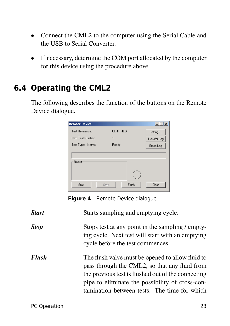- <span id="page-22-0"></span>• Connect the CML2 to the computer using the Serial Cable and the USB to Serial Converter.
- If necessary, determine the COM port allocated by the computer for this device using the procedure above.

# **6.4 Operating the CML2**

The following describes the function of the buttons on the Remote Device dialogue.

| <b>Remote Device</b> |               | $ \Box$ $\times$ |
|----------------------|---------------|------------------|
| Test Reference:      | CERTIFIED     | Settings         |
| Next Test Number:    |               | Transfer Log     |
| Test Type: Normal    | Ready         | Erase Log        |
|                      |               |                  |
| Result               |               |                  |
| Start                | Flush<br>Stop | Close            |

**Figure 4** Remote Device dialogue

| <b>Start</b> | Starts sampling and emptying cycle.                                                                                                                                                                                                                        |  |  |
|--------------|------------------------------------------------------------------------------------------------------------------------------------------------------------------------------------------------------------------------------------------------------------|--|--|
| <b>Stop</b>  | Stops test at any point in the sampling / empty-<br>ing cycle. Next test will start with an emptying<br>cycle before the test commences.                                                                                                                   |  |  |
| <b>Flush</b> | The flush valve must be opened to allow fluid to<br>pass through the CML2, so that any fluid from<br>the previous test is flushed out of the connecting<br>pipe to eliminate the possibility of cross-con-<br>tamination between tests. The time for which |  |  |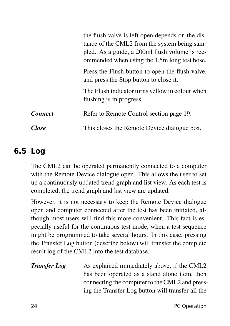<span id="page-23-0"></span>

|                | the flush valve is left open depends on the dis-<br>tance of the CML2 from the system being sam-<br>pled. As a guide, a 200ml flush volume is rec-<br>ommended when using the 1.5m long test hose. |
|----------------|----------------------------------------------------------------------------------------------------------------------------------------------------------------------------------------------------|
|                | Press the Flush button to open the flush valve,<br>and press the Stop button to close it.                                                                                                          |
|                | The Flush indicator turns yellow in colour when<br>flushing is in progress.                                                                                                                        |
| <b>Connect</b> | Refer to Remote Control section page 19.                                                                                                                                                           |
| Close          | This closes the Remote Device dialogue box.                                                                                                                                                        |

### **6.5 Log**

The CML2 can be operated permanently connected to a computer with the Remote Device dialogue open. This allows the user to set up a continuously updated trend graph and list view. As each test is completed, the trend graph and list view are updated.

However, it is not necessary to keep the Remote Device dialogue open and computer connected after the test has been initiated, although most users will find this more convenient. This fact is especially useful for the continuous test mode, when a test sequence might be programmed to take several hours. In this case, pressing the Transfer Log button (describe below) will transfer the complete result log of the CML2 into the test database.

*Transfer Log* As explained immediately above, if the CML2 has been operated as a stand alone item, then connecting the computer to the CML2 and pressing the Transfer Log button will transfer all the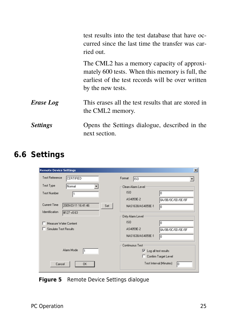<span id="page-24-0"></span>

|                  | test results into the test database that have oc-<br>curred since the last time the transfer was car-<br>ried out.                                                      |
|------------------|-------------------------------------------------------------------------------------------------------------------------------------------------------------------------|
|                  | The CML2 has a memory capacity of approxi-<br>mately 600 tests. When this memory is full, the<br>earliest of the test records will be over written<br>by the new tests. |
| <b>Erase</b> Log | This erases all the test results that are stored in<br>the CML2 memory.                                                                                                 |
| <b>Settings</b>  | Opens the Settings dialogue, described in the<br>next section.                                                                                                          |

# **6.6 Settings**

| <b>Remote Device Settings</b>              | $\vert x \vert$                                 |
|--------------------------------------------|-------------------------------------------------|
| Test Reference<br><b>CERTIFIED</b>         | Format<br>liso.                                 |
| Test Type<br>Normal                        | Clean Alarm Level                               |
| Test Number                                | ISO<br>۵                                        |
|                                            | AS4059E-2<br>0A/0B/0C/0D/0E/0F                  |
| Current Time<br>2009-03-11 16:41:46<br>Set | NAS1638/AS4059E-1<br>١a                         |
| Identification<br>#127 y0.63               | Dirty Alarm Level                               |
|                                            |                                                 |
| Measure Water Content                      | ISO.<br>I٥                                      |
| Simulate Test Besults                      | AS4059E-2<br>0A/0B/0C/0D/0E/0F                  |
|                                            | NAS1638/AS4059E-1<br>I٥                         |
|                                            | Continuous Test                                 |
| Alarm Mode<br>I1                           | $\overline{\triangledown}$ Log all test results |
|                                            | Confirm Target Level                            |
| Cancel<br>0K                               | Test Interval (Minutes)<br>I٥                   |

#### **Figure 5** Remote Device Settings dialogue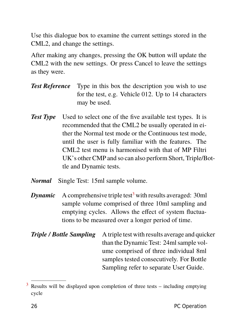Use this dialogue box to examine the current settings stored in the CML2, and change the settings.

After making any changes, pressing the OK button will update the CML2 with the new settings. Or press Cancel to leave the settings as they were.

- **Test Reference** Type in this box the description you wish to use for the test, e.g. Vehicle 012. Up to 14 characters may be used.
- **Test Type** Used to select one of the five available test types. It is recommended that the CML2 be usually operated in either the Normal test mode or the Continuous test mode, until the user is fully familiar with the features. The CML2 test menu is harmonised with that of MP Filtri UK's other CMP and so can also perform Short, Triple/Bottle and Dynamic tests.
- *Normal* Single Test: 15ml sample volume.
- **Dynamic** A comprehensive triple test<sup>3</sup> with results averaged: 30ml sample volume comprised of three 10ml sampling and emptying cycles. Allows the effect of system fluctuations to be measured over a longer period of time.
- *Triple / Bottle Sampling* A triple test with results average and quicker than the Dynamic Test: 24ml sample volume comprised of three individual 8ml samples tested consecutively. For Bottle Sampling refer to separate User Guide.

Results will be displayed upon completion of three tests – including emptying cycle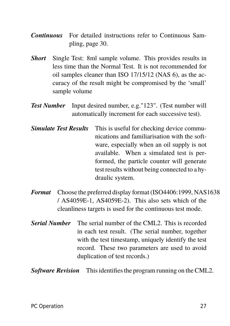- *Continuous* For detailed instructions refer to Continuous Sampling, [page 30](#page-29-0).
- *Short* Single Test: 8ml sample volume. This provides results in less time than the Normal Test. It is not recommended for oil samples cleaner than ISO 17/15/12 (NAS 6), as the accuracy of the result might be compromised by the 'small' sample volume
- **Test Number** Input desired number, e.g. "123". (Test number will automatically increment for each successive test).
- *Simulate Test Results* This is useful for checking device communications and familiarisation with the software, especially when an oil supply is not available. When a simulated test is performed, the particle counter will generate test results without being connected to a hydraulic system.
- *Format* Choose the preferred display format (ISO4406:1999, NAS1638 / AS4059E-1, AS4059E-2). This also sets which of the cleanliness targets is used for the continuous test mode.
- *Serial Number* The serial number of the CML2. This is recorded in each test result. (The serial number, together with the test timestamp, uniquely identify the test record. These two parameters are used to avoid duplication of test records.)
- *Software Revision* This identifies the program running on the CML2.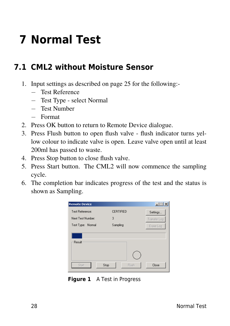# <span id="page-27-0"></span>**7 Normal Test**

### **7.1 CML2 without Moisture Sensor**

- 1. Input settings as described on [page 25](#page-24-0) for the following:-
	- − Test Reference
	- − Test Type select Normal
	- − Test Number
	- − Format
- 2. Press OK button to return to Remote Device dialogue.
- 3. Press Flush button to open flush valve flush indicator turns yellow colour to indicate valve is open. Leave valve open until at least 200ml has passed to waste.
- 4. Press Stop button to close flush valve.
- 5. Press Start button. The CML2 will now commence the sampling cycle.
- 6. The completion bar indicates progress of the test and the status is shown as Sampling.



**Figure 1** A Test in Progress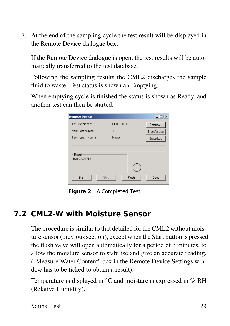<span id="page-28-0"></span>7. At the end of the sampling cycle the test result will be displayed in the Remote Device dialogue box.

If the Remote Device dialogue is open, the test results will be automatically transferred to the test database.

Following the sampling results the CML2 discharges the sample fluid to waste. Test status is shown an Emptying.

When emptying cycle is finished the status is shown as Ready, and another test can then be started.

| <b>Remote Device</b>   |               | $ \Box$ $\times$ |
|------------------------|---------------|------------------|
| Test Reference:        | CERTIFIED     | Settings         |
| Next Test Number:      | 4             | Transfer Log     |
| Test Type: Normal      | Ready         | Erase Log        |
|                        |               |                  |
| Result<br>ISO 23/21/19 |               |                  |
|                        |               |                  |
| Start                  | Flush<br>Stop | Close            |

**Figure 2** A Completed Test

### **7.2 CML2-W with Moisture Sensor**

The procedure is similar to that detailed for the CML2 without moisture sensor (previous section), except when the Start button is pressed the flush valve will open automatically for a period of 3 minutes, to allow the moisture sensor to stabilise and give an accurate reading. ("Measure Water Content" box in the Remote Device Settings window has to be ticked to obtain a result).

Temperature is displayed in °C and moisture is expressed in % RH (Relative Humidity).

Normal Test 29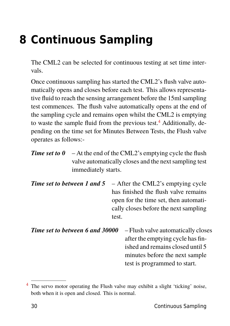# <span id="page-29-0"></span>**8 Continuous Sampling**

The CML2 can be selected for continuous testing at set time intervals.

Once continuous sampling has started the CML2's flush valve automatically opens and closes before each test. This allows representative fluid to reach the sensing arrangement before the 15ml sampling test commences. The flush valve automatically opens at the end of the sampling cycle and remains open whilst the CML2 is emptying to waste the sample fluid from the previous test.<sup>4</sup> Additionally, depending on the time set for Minutes Between Tests, the Flush valve operates as follows:-

*Time set to*  $0$  *–* At the end of the CML2's emptying cycle the flush valve automatically closes and the next sampling test immediately starts.

| <b>Time set to between 1 and 5</b> $-$ After the CML2's emptying cycle |
|------------------------------------------------------------------------|
| has finished the flush valve remains                                   |
| open for the time set, then automati-                                  |
| cally closes before the next sampling                                  |
| test.                                                                  |

*Time set to between 6 and 30000* – Flush valve automatically closes after the emptying cycle has finished and remains closed until 5 minutes before the next sample test is programmed to start.

The servo motor operating the Flush valve may exhibit a slight 'ticking' noise, both when it is open and closed. This is normal.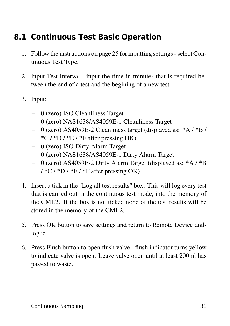# <span id="page-30-0"></span>**8.1 Continuous Test Basic Operation**

- 1. Follow the instructions on [page 25](#page-24-0) for inputting settings select Continuous Test Type.
- 2. Input Test Interval input the time in minutes that is required between the end of a test and the begining of a new test.
- 3. Input:
	- − 0 (zero) ISO Cleanliness Target
	- − 0 (zero) NAS1638/AS4059E-1 Cleanliness Target
	- − 0 (zero) AS4059E-2 Cleanliness target (displayed as: \*A / \*B / \*C / \*D / \*E / \*F after pressing OK)
	- − 0 (zero) ISO Dirty Alarm Target
	- − 0 (zero) NAS1638/AS4059E-1 Dirty Alarm Target
	- − 0 (zero) AS4059E-2 Dirty Alarm Target (displayed as: \*A / \*B  $/$  \*C  $/$  \*D  $/$  \*E  $/$  \*F after pressing OK)
- 4. Insert a tick in the "Log all test results" box. This will log every test that is carried out in the continuous test mode, into the memory of the CML2. If the box is not ticked none of the test results will be stored in the memory of the CML2.
- 5. Press OK button to save settings and return to Remote Device diallogue.
- 6. Press Flush button to open flush valve flush indicator turns yellow to indicate valve is open. Leave valve open until at least 200ml has passed to waste.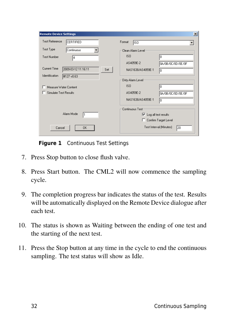| <b>Remote Device Settings</b>              |                                       | 즤                              |
|--------------------------------------------|---------------------------------------|--------------------------------|
| Test Reference<br>CERTIFIED                | Format<br> ISO                        |                                |
| Test Type<br>Continuous<br>▼               | Clean Alarm Level                     |                                |
| Test Number<br> 4                          | ISO                                   | n                              |
|                                            | AS4059E-2                             | 0A/0B/0C/0D/0E/0F              |
| Current Time<br>2009-03-12 11:16:11<br>Set | NAS1638/AS4059E-1                     | ۱O                             |
| Identification<br>#127 v0.63               | Dirty Alarm Level                     |                                |
| Measure Water Content                      | ISO                                   | I۵                             |
| Simulate Test Results                      | AS4059E-2                             | 0A/0B/0C/0D/0E/0F              |
|                                            | NAS1638/AS4059E-1                     | I٥                             |
|                                            | Continuous Test                       |                                |
| Alarm Mode<br>I1                           | $\triangleright$ Log all test results |                                |
|                                            |                                       | Confirm Target Level           |
| Cancel<br>OK.                              |                                       | Test Interval (Minutes)<br> 20 |

**Figure 1** Continuous Test Settings

- 7. Press Stop button to close flush valve.
- 8. Press Start button. The CML2 will now commence the sampling cycle.
- 9. The completion progress bar indicates the status of the test. Results will be automatically displayed on the Remote Device dialogue after each test.
- 10. The status is shown as Waiting between the ending of one test and the starting of the next test.
- 11. Press the Stop button at any time in the cycle to end the continuous sampling. The test status will show as Idle.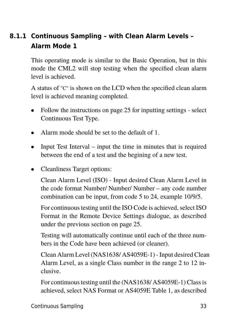### **8.1.1 Continuous Sampling – with Clean Alarm Levels – Alarm Mode 1**

This operating mode is similar to the Basic Operation, but in this mode the CML2 will stop testing when the specified clean alarm level is achieved.

A status of "C" is shown on the LCD when the specified clean alarm level is achieved meaning completed.

- Follow the instructions on [page 25](#page-24-0) for inputting settings select Continuous Test Type.
- Alarm mode should be set to the default of 1.
- Input Test Interval input the time in minutes that is required between the end of a test and the begining of a new test.
- Cleanliness Target options:

Clean Alarm Level (ISO) - Input desired Clean Alarm Level in the code format Number/ Number/ Number – any code number combination can be input, from code 5 to 24, example 10/9/5.

For continuous testing until the ISO Code is achieved, select ISO Format in the Remote Device Settings dialogue, as described under the previous section on [page 25.](#page-24-0)

Testing will automatically continue until each of the three numbers in the Code have been achieved (or cleaner).

Clean Alarm Level (NAS1638/ AS4059E-1) - Input desired Clean Alarm Level, as a single Class number in the range 2 to 12 inclusive.

For continuous testing until the (NAS1638/ AS4059E-1) Class is achieved, select NAS Format or AS4059E Table 1, as described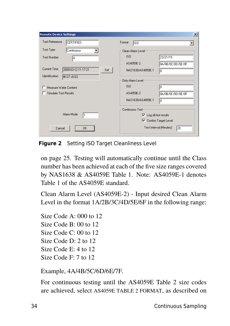| <b>Remote Device Settings</b>       |                          |                   | $\vert x \vert$               |
|-------------------------------------|--------------------------|-------------------|-------------------------------|
| Test Reference<br><b>CERTIFIED</b>  |                          | Format<br>liso    |                               |
| Test Type<br>Continuous             | $\overline{\phantom{a}}$ | Clean Alarm Level |                               |
| Test Number<br>4                    |                          | ISO               | 23/21/19                      |
|                                     |                          | AS4059E-2         | 0A/0B/0C/0D/0E/0F             |
| Current Time<br>2009-03-12 11:17:21 | Set                      | NAS1638/AS4059E-1 | In                            |
| Identification<br>#127 v0.63        |                          | Dirty Alarm Level |                               |
| Measure Water Content               |                          | ISO               | ۱O                            |
| Simulate Test Results               |                          | AS4059E-2         | 0A/0B/0C/0D/0E/0F             |
|                                     |                          | NAS1638/AS4059E-1 | O                             |
|                                     |                          | Continuous Test   |                               |
| Alarm Mode<br>I1                    |                          | ⊽                 | Log all test results          |
|                                     |                          | ⊽                 | Confirm Target Level          |
| 0K<br>Cancel                        |                          |                   | Test Interval (Minutes)<br>20 |

**Figure 2** Setting ISO Target Cleanliness Level

on page [25](#page-24-0). Testing will automatically continue until the Class number has been achieved at each of the five size ranges covered by NAS1638 & AS4059E Table 1. Note: AS4059E-1 denotes Table 1 of the AS4059E standard.

Clean Alarm Level (AS4059E-2) - Input desired Clean Alarm Level in the format 1A/2B/3C/4D/5E/6F in the following range:

Size Code A: 000 to 12 Size Code B: 00 to 12 Size Code C: 00 to 12 Size Code D: 2 to 12 Size Code E: 4 to 12 Size Code F: 7 to 12

Example, 4A/4B/5C/6D/6E/7F.

For continuous testing until the AS4059E Table 2 size codes are achieved, select AS4059E TABLE 2 FORMAT, as described on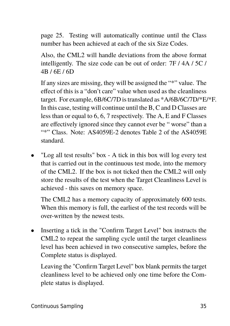[page 25.](#page-24-0) Testing will automatically continue until the Class number has been achieved at each of the six Size Codes.

Also, the CML2 will handle deviations from the above format intelligently. The size code can be out of order: 7F / 4A / 5C / 4B / 6E / 6D

If any sizes are missing, they will be assigned the "\*" value. The effect of this is a "don't care" value when used as the cleanliness target. For example, 6B/6C/7D is translated as \*A/6B/6C/7D/\*E/\*F. In this case, testing will continue until the B, C and D Classes are less than or equal to 6, 6, 7 respectively. The A, E and F Classes are effectively ignored since they cannot ever be " worse" than a "\*" Class. Note: AS4059E-2 denotes Table 2 of the AS4059E standard.

• "Log all test results" box - A tick in this box will log every test that is carried out in the continuous test mode, into the memory of the CML2. If the box is not ticked then the CML2 will only store the results of the test when the Target Cleanliness Level is achieved - this saves on memory space.

The CML2 has a memory capacity of approximately 600 tests. When this memory is full, the earliest of the test records will be over-written by the newest tests.

• Inserting a tick in the "Confirm Target Level" box instructs the CML2 to repeat the sampling cycle until the target cleanliness level has been achieved in two consecutive samples, before the Complete status is displayed.

Leaving the "Confirm Target Level" box blank permits the target cleanliness level to be achieved only one time before the Complete status is displayed.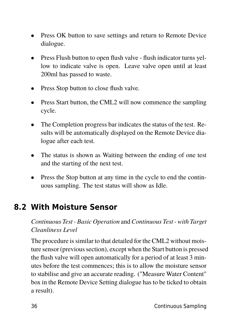- <span id="page-35-0"></span>• Press OK button to save settings and return to Remote Device dialogue.
- Press Flush button to open flush valve flush indicator turns yellow to indicate valve is open. Leave valve open until at least 200ml has passed to waste.
- Press Stop button to close flush valve.
- Press Start button, the CML2 will now commence the sampling cycle.
- The Completion progress bar indicates the status of the test. Results will be automatically displayed on the Remote Device dialogue after each test.
- The status is shown as Waiting between the ending of one test and the starting of the next test.
- Press the Stop button at any time in the cycle to end the continuous sampling. The test status will show as Idle.

### **8.2 With Moisture Sensor**

### *Continuous Test - Basic Operation* and *Continuous Test - with Target Cleanliness Level*

The procedure is similar to that detailed for the CML2 without moisture sensor (previous section), except when the Start button is pressed the flush valve will open automatically for a period of at least 3 minutes before the test commences; this is to allow the moisture sensor to stabilise and give an accurate reading. ("Measure Water Content" box in the Remote Device Setting dialogue has to be ticked to obtain a result).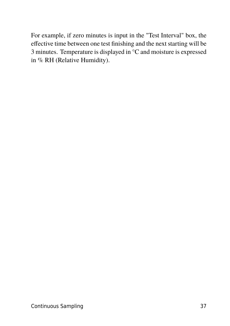For example, if zero minutes is input in the "Test Interval" box, the effective time between one test finishing and the next starting will be 3 minutes. Temperature is displayed in °C and moisture is expressed in % RH (Relative Humidity).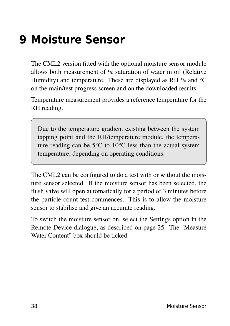# <span id="page-37-0"></span>**9 Moisture Sensor**

The CML2 version fitted with the optional moisture sensor module allows both measurement of  $\%$  saturation of water in oil (Relative Humidity) and temperature. These are displayed as RH  $\%$  and  $\degree$ C on the main/test progress screen and on the downloaded results.

Temperature measurement provides a reference temperature for the RH reading.

Due to the temperature gradient existing between the system tapping point and the RH/temperature module, the temperature reading can be 5°C to 10°C less than the actual system temperature, depending on operating conditions.

The CML2 can be configured to do a test with or without the moisture sensor selected. If the moisture sensor has been selected, the flush valve will open automatically for a period of 3 minutes before the particle count test commences. This is to allow the moisture sensor to stabilise and give an accurate reading.

To switch the moisture sensor on, select the Settings option in the Remote Device dialogue, as described on [page 25.](#page-24-0) The "Measure Water Content" box should be ticked.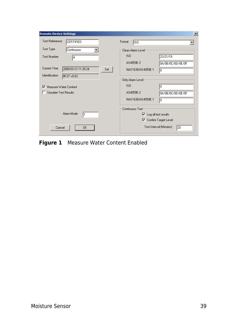| <b>Remote Device Settings</b>              | $\vert x \vert$                |
|--------------------------------------------|--------------------------------|
| Test Reference<br>CERTIFIED                | Format<br>liso                 |
| Test Type<br>Continuous                    | Clean Alarm Level              |
| Test Number<br>14                          | ISO<br>23/21/19                |
|                                            | AS4059E-2<br>0A/0B/0C/0D/0E/0F |
| Current Time<br>2009-03-12 11:20:24<br>Set | NAS1638/AS4059E-1<br>ln.       |
| Identification<br>#127 y0.63               | Dirty Alarm Level              |
| Measure Water Content<br>1⊽                | ISO<br>I٥                      |
| Simulate Test Results                      | AS4059E-2<br>0A/0B/0C/0D/0E/0F |
|                                            | NAS1638/AS4059E-1<br>I٥        |
|                                            | Continuous Test                |
| Alarm Mode<br>I1                           | Log all test results<br>⊽      |
|                                            | Ⅳ Confirm Target Level         |
| OK.<br>Cancel                              | Test Interval (Minutes)<br>20  |

**Figure 1** Measure Water Content Enabled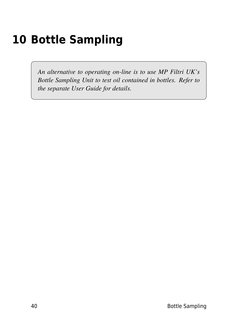# <span id="page-39-0"></span>**10 Bottle Sampling**

*An alternative to operating on-line is to use MP Filtri UK's Bottle Sampling Unit to test oil contained in bottles. Refer to the separate User Guide for details.*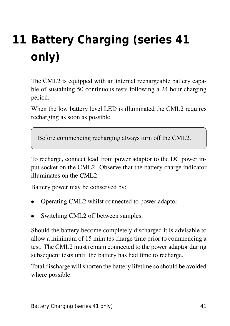# <span id="page-40-0"></span>**11 Battery Charging (series 41 only)**

The CML2 is equipped with an internal rechargeable battery capable of sustaining 50 continuous tests following a 24 hour charging period.

When the low battery level LED is illuminated the CML2 requires recharging as soon as possible.

Before commencing recharging always turn off the CML2.

To recharge, connect lead from power adaptor to the DC power input socket on the CML2. Observe that the battery charge indicator illuminates on the CML2.

Battery power may be conserved by:

- Operating CML2 whilst connected to power adaptor.
- Switching CML2 off between samples.

Should the battery become completely discharged it is advisable to allow a minimum of 15 minutes charge time prior to commencing a test. The CML2 must remain connected to the power adaptor during subsequent tests until the battery has had time to recharge.

Total discharge will shorten the battery lifetime so should be avoided where possible.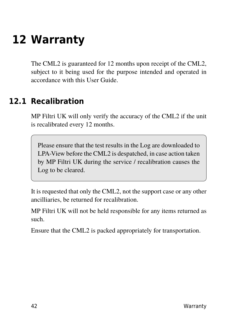# <span id="page-41-0"></span>**12 Warranty**

The CML2 is guaranteed for 12 months upon receipt of the CML2, subject to it being used for the purpose intended and operated in accordance with this User Guide.

### **12.1 Recalibration**

MP Filtri UK will only verify the accuracy of the CML2 if the unit is recalibrated every 12 months.

Please ensure that the test results in the Log are downloaded to LPA-View before the CML2 is despatched, in case action taken by MP Filtri UK during the service / recalibration causes the Log to be cleared.

It is requested that only the CML2, not the support case or any other ancilliaries, be returned for recalibration.

MP Filtri UK will not be held responsible for any items returned as such.

Ensure that the CML2 is packed appropriately for transportation.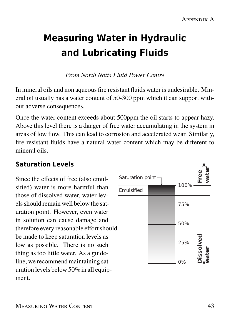# <span id="page-42-0"></span>**Measuring Water in Hydraulic and Lubricating Fluids**

*From North Notts Fluid Power Centre*

In mineral oils and non aqueous fire resistant fluids water is undesirable. Mineral oil usually has a water content of 50-300 ppm which it can support without adverse consequences.

Once the water content exceeds about 500ppm the oil starts to appear hazy. Above this level there is a danger of free water accumulating in the system in areas of low flow. This can lead to corrosion and accelerated wear. Similarly, fire resistant fluids have a natural water content which may be different to mineral oils.

### **Saturation Levels**

Since the effects of free (also emulsified) water is more harmful than those of dissolved water, water levels should remain well below the saturation point. However, even water in solution can cause damage and therefore every reasonable effort should be made to keep saturation levels as low as possible. There is no such thing as too little water. As a guideline, we recommend maintaining saturation levels below 50% in all equipment.

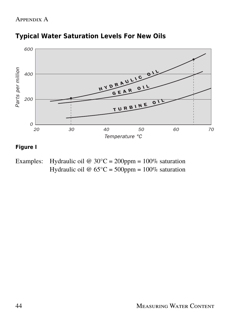

### **Typical Water Saturation Levels For New Oils**

#### **Figure I**

Examples: Hydraulic oil @  $30^{\circ}$ C = 200ppm = 100% saturation Hydraulic oil  $\omega$  65°C = 500ppm = 100% saturation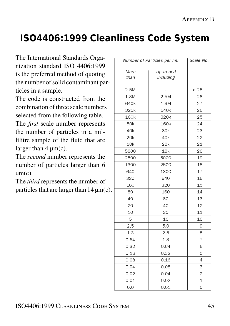# <span id="page-44-0"></span>**ISO4406:1999 Cleanliness Code System**

The International Standards Organization standard ISO 4406:1999 is the preferred method of quoting the number of solid contaminant particles in a sample.

The code is constructed from the combination of three scale numbers selected from the following table.

The *first* scale number represents the number of particles in a millilitre sample of the fluid that are larger than  $4 \mu m(c)$ .

The *second* number represents the number of particles larger than 6  $\mu$ m $(c)$ .

The *third* represents the number of particles that are larger than  $14 \mu m(c)$ .

| Number of Particles per mL | Scale No.              |                |
|----------------------------|------------------------|----------------|
| More<br>than               | Up to and<br>including |                |
|                            |                        |                |
| 2.5M                       |                        | > 28           |
| 1.3M                       | 2.5M                   | 28             |
| 640k                       | 1.3M                   | 27             |
| 320k                       | 640k                   | 26             |
| 160k                       | 320k                   | 25             |
| 80k                        | 160k                   | 24             |
| 40k                        | 80k                    | 23             |
| 20k                        | 40k                    | 22             |
| 10k                        | 20k                    | 21             |
| 5000                       | 10k                    | 20             |
| 2500                       | 5000                   | 19             |
| 1300                       | 2500                   | 18             |
| 640                        | 1300                   | 17             |
| 320                        | 640                    | 16             |
| 160                        | 320                    | 15             |
| 80                         | 160                    | 14             |
| 40                         | 80                     | 13             |
| 20                         | 40                     | 12             |
| 10                         | 20                     | 11             |
| 5                          | 10                     | 10             |
| 2.5                        | 5.0                    | 9              |
| 1.3                        | 2.5                    | 8              |
| 0.64                       | 1.3                    | 7              |
| 0.32                       | 0.64                   | 6              |
| 0.16                       | 0.32                   | 5              |
| 0.08                       | 0.16                   | 4              |
| 0.04                       | 0.08                   | 3              |
| 0.02                       | 0.04                   | $\overline{c}$ |
| 0.01                       | 0.02                   | $\mathbf{1}$   |
| 0.0                        | 0.01                   | O              |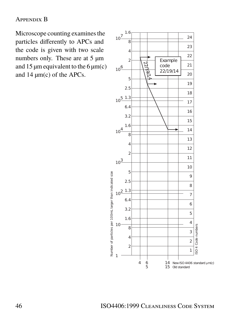Microscope counting examines the particles differently to APCs and the code is given with two scale numbers only. These are at 5  $\mu$ m and 15  $\mu$ m equivalent to the 6  $\mu$ m(c) and  $14 \mu m(c)$  of the APCs.

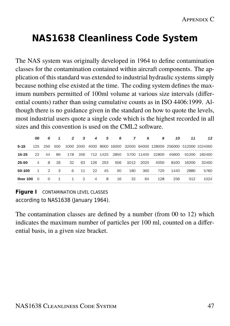# <span id="page-46-0"></span>**NAS1638 Cleanliness Code System**

The NAS system was originally developed in 1964 to define contamination classes for the contamination contained within aircraft components. The application of this standard was extended to industrial hydraulic systems simply because nothing else existed at the time. The coding system defines the maximum numbers permitted of 100ml volume at various size intervals (differential counts) rather than using cumulative counts as in ISO 4406:1999. Although there is no guidance given in the standard on how to quote the levels, most industrial users quote a single code which is the highest recorded in all sizes and this convention is used on the CML2 software.

|                 | 00       | 0             | 1   | $\overline{2}$ | з             | 4   | 5        | 6    | 7    | 8          | 9     | 10    | 11    | 12                                                                 |
|-----------------|----------|---------------|-----|----------------|---------------|-----|----------|------|------|------------|-------|-------|-------|--------------------------------------------------------------------|
| $5 - 15$        |          | 125 250       | 500 |                |               |     |          |      |      |            |       |       |       | 1000 2000 4000 8000 16000 32000 64000 128000 256000 512000 1024000 |
| 15-25           | 22       | 44            | 89  | 178            | 356           |     | 712 1425 | 2850 |      | 5700 11400 | 22800 | 45600 | 91200 | 182400                                                             |
| 25-50           | 4        | 8             | 16  | 32             | 63            | 126 | 253      | 506  | 1012 | 2025       | 4050  | 8100  | 16200 | 32400                                                              |
| 50-100          | 1        | $\mathcal{P}$ | 3   | 6              | 11            | 22  | 45       | 90   | 180  | 360        | 720   | 1440  | 2880  | 5760                                                               |
| <b>Over 100</b> | $\Omega$ | $\Omega$      | 1   | 1              | $\mathcal{L}$ | 4   | 8        | 16   | 32   | 64         | 128   | 256   | 512   | 1024                                                               |

**Figure I** CONTAMINATION LEVEL CLASSES according to NAS1638 (January 1964).

The contamination classes are defined by a number (from 00 to 12) which indicates the maximum number of particles per 100 ml, counted on a differential basis, in a given size bracket.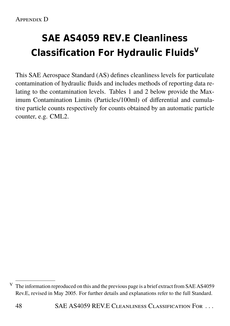# <span id="page-47-0"></span>**SAE AS4059 REV.E Cleanliness Classification For Hydraulic Fluids<sup>V</sup>**

This SAE Aerospace Standard (AS) defines cleanliness levels for particulate contamination of hydraulic fluids and includes methods of reporting data relating to the contamination levels. Tables 1 and 2 below provide the Maximum Contamination Limits (Particles/100ml) of differential and cumulative particle counts respectively for counts obtained by an automatic particle counter, e.g. CML2.

The information reproduced on this and the previous page is a brief extract from SAE AS4059 Rev.E, revised in May 2005. For further details and explanations refer to the full Standard.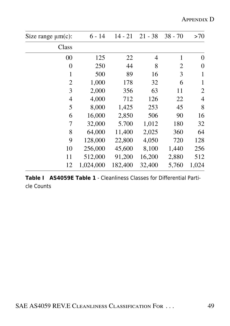| Size range $\mu$ m $(c)$ : | 6 - 14    | 14 - 21 | $21 - 38$      | $38 - 70$      | >70            |
|----------------------------|-----------|---------|----------------|----------------|----------------|
| Class                      |           |         |                |                |                |
| 00                         | 125       | 22      | $\overline{4}$ | 1              | $\Omega$       |
| $\overline{0}$             | 250       | 44      | 8              | $\overline{2}$ | 0              |
| $\mathbf{1}$               | 500       | 89      | 16             | 3              | 1              |
| $\overline{2}$             | 1,000     | 178     | 32             | 6              | 1              |
| 3                          | 2,000     | 356     | 63             | 11             | $\overline{2}$ |
| $\overline{4}$             | 4,000     | 712     | 126            | 22             | 4              |
| 5                          | 8,000     | 1,425   | 253            | 45             | 8              |
| 6                          | 16,000    | 2,850   | 506            | 90             | 16             |
| 7                          | 32,000    | 5.700   | 1,012          | 180            | 32             |
| 8                          | 64,000    | 11,400  | 2,025          | 360            | 64             |
| 9                          | 128,000   | 22,800  | 4,050          | 720            | 128            |
| 10                         | 256,000   | 45,600  | 8,100          | 1,440          | 256            |
| 11                         | 512,000   | 91,200  | 16,200         | 2,880          | 512            |
| 12                         | 1,024,000 | 182,400 | 32,400         | 5,760          | 1,024          |
|                            |           |         |                |                |                |

**Table I AS4059E Table 1** - Cleanliness Classes for Differential Particle Counts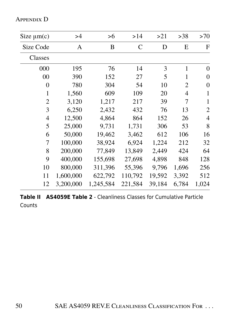| Size $\mu$ m $(c)$ | >4           | >6        | >14          | >21    | >38            | >70            |
|--------------------|--------------|-----------|--------------|--------|----------------|----------------|
| Size Code          | $\mathbf{A}$ | B         | $\mathsf{C}$ | D      | E              | F              |
| Classes            |              |           |              |        |                |                |
| 000                | 195          | 76        | 14           | 3      | 1              | 0              |
| 00                 | 390          | 152       | 27           | 5      | $\mathbf{1}$   | 0              |
| $\overline{0}$     | 780          | 304       | 54           | 10     | $\overline{2}$ | 0              |
| $\mathbf{1}$       | 1,560        | 609       | 109          | 20     | 4              | 1              |
| $\overline{2}$     | 3,120        | 1,217     | 217          | 39     | 7              | 1              |
| 3                  | 6,250        | 2,432     | 432          | 76     | 13             | $\overline{2}$ |
| 4                  | 12,500       | 4,864     | 864          | 152    | 26             | 4              |
| 5                  | 25,000       | 9,731     | 1,731        | 306    | 53             | 8              |
| 6                  | 50,000       | 19,462    | 3,462        | 612    | 106            | 16             |
| 7                  | 100,000      | 38,924    | 6,924        | 1,224  | 212            | 32             |
| 8                  | 200,000      | 77,849    | 13,849       | 2,449  | 424            | 64             |
| 9                  | 400,000      | 155,698   | 27,698       | 4,898  | 848            | 128            |
| 10                 | 800,000      | 311,396   | 55,396       | 9,796  | 1,696          | 256            |
| 11                 | 1,600,000    | 622,792   | 110,792      | 19,592 | 3,392          | 512            |
| 12                 | 3,200,000    | 1,245,584 | 221,584      | 39,184 | 6,784          | 1,024          |

Appendix D

**Table II AS4059E Table 2** - Cleanliness Classes for Cumulative Particle Counts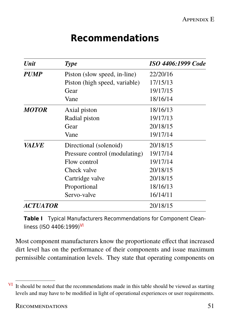# **Recommendations**

<span id="page-50-0"></span>

| <b>Unit</b>     | <b>Type</b>                   | ISO 4406:1999 Code |
|-----------------|-------------------------------|--------------------|
| <b>PUMP</b>     | Piston (slow speed, in-line)  | 22/20/16           |
|                 | Piston (high speed, variable) | 17/15/13           |
|                 | Gear                          | 19/17/15           |
|                 | Vane                          | 18/16/14           |
| <b>MOTOR</b>    | Axial piston                  | 18/16/13           |
|                 | Radial piston                 | 19/17/13           |
|                 | Gear                          | 20/18/15           |
|                 | Vane                          | 19/17/14           |
| <b>VALVE</b>    | Directional (solenoid)        | 20/18/15           |
|                 | Pressure control (modulating) | 19/17/14           |
|                 | Flow control                  | 19/17/14           |
|                 | Check valve                   | 20/18/15           |
|                 | Cartridge valve               | 20/18/15           |
|                 | Proportional                  | 18/16/13           |
|                 | Servo-valve                   | 16/14/11           |
| <b>ACTUATOR</b> |                               | 20/18/15           |

**Table I** Typical Manufacturers Recommendations for Component Cleanliness (ISO 4406:1999)<sup>VI</sup>

Most component manufacturers know the proportionate effect that increased dirt level has on the performance of their components and issue maximum permissible contamination levels. They state that operating components on

<sup>&</sup>lt;sup>VI</sup> It should be noted that the recommendations made in this table should be viewed as starting levels and may have to be modified in light of operational experiences or user requirements.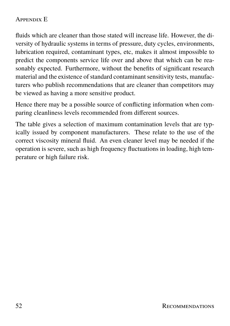#### Appendix E

fluids which are cleaner than those stated will increase life. However, the diversity of hydraulic systems in terms of pressure, duty cycles, environments, lubrication required, contaminant types, etc, makes it almost impossible to predict the components service life over and above that which can be reasonably expected. Furthermore, without the benefits of significant research material and the existence of standard contaminant sensitivity tests, manufacturers who publish recommendations that are cleaner than competitors may be viewed as having a more sensitive product.

Hence there may be a possible source of conflicting information when comparing cleanliness levels recommended from different sources.

The table gives a selection of maximum contamination levels that are typically issued by component manufacturers. These relate to the use of the correct viscosity mineral fluid. An even cleaner level may be needed if the operation is severe, such as high frequency fluctuations in loading, high temperature or high failure risk.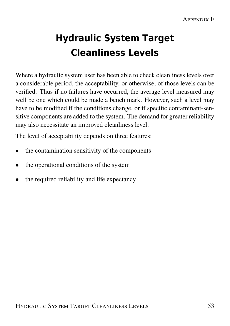# <span id="page-52-0"></span>**Hydraulic System Target Cleanliness Levels**

Where a hydraulic system user has been able to check cleanliness levels over a considerable period, the acceptability, or otherwise, of those levels can be verified. Thus if no failures have occurred, the average level measured may well be one which could be made a bench mark. However, such a level may have to be modified if the conditions change, or if specific contaminant-sensitive components are added to the system. The demand for greater reliability may also necessitate an improved cleanliness level.

The level of acceptability depends on three features:

- the contamination sensitivity of the components
- the operational conditions of the system
- the required reliability and life expectancy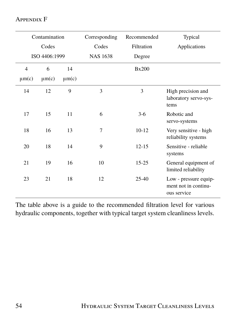#### Appendix F

| Contamination  |               |               | Corresponding   | Recommended | Typical                                                      |
|----------------|---------------|---------------|-----------------|-------------|--------------------------------------------------------------|
|                | Codes         |               | Codes           | Filtration  | Applications                                                 |
|                | ISO 4406:1999 |               | <b>NAS 1638</b> | Degree      |                                                              |
| $\overline{4}$ | 6             | 14            |                 | Bx200       |                                                              |
| $\mu$ m $(c)$  | $\mu$ m $(c)$ | $\mu$ m $(c)$ |                 |             |                                                              |
| 14             | 12            | 9             | 3               | 3           | High precision and<br>laboratory servo-sys-<br>tems          |
| 17             | 15            | 11            | 6               | $3-6$       | Robotic and<br>servo-systems                                 |
| 18             | 16            | 13            | 7               | $10 - 12$   | Very sensitive - high<br>reliability systems                 |
| 20             | 18            | 14            | 9               | $12 - 15$   | Sensitive - reliable<br>systems                              |
| 21             | 19            | 16            | 10              | $15 - 25$   | General equipment of<br>limited reliability                  |
| 23             | 21            | 18            | 12              | $25 - 40$   | Low - pressure equip-<br>ment not in continu-<br>ous service |

The table above is a guide to the recommended filtration level for various hydraulic components, together with typical target system cleanliness levels.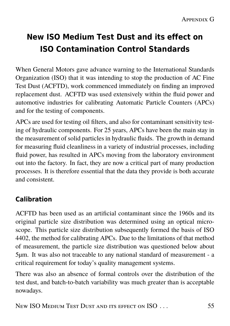# <span id="page-54-0"></span>**New ISO Medium Test Dust and its effect on ISO Contamination Control Standards**

When General Motors gave advance warning to the International Standards Organization (ISO) that it was intending to stop the production of AC Fine Test Dust (ACFTD), work commenced immediately on finding an improved replacement dust. ACFTD was used extensively within the fluid power and automotive industries for calibrating Automatic Particle Counters (APCs) and for the testing of components.

APCs are used for testing oil filters, and also for contaminant sensitivity testing of hydraulic components. For 25 years, APCs have been the main stay in the measurement of solid particles in hydraulic fluids. The growth in demand for measuring fluid cleanliness in a variety of industrial processes, including fluid power, has resulted in APCs moving from the laboratory environment out into the factory. In fact, they are now a critical part of many production processes. It is therefore essential that the data they provide is both accurate and consistent.

### **Calibration**

ACFTD has been used as an artificial contaminant since the 1960s and its original particle size distribution was determined using an optical microscope. This particle size distribution subsequently formed the basis of ISO 4402, the method for calibrating APCs. Due to the limitations of that method of measurement, the particle size distribution was questioned below about 5µm. It was also not traceable to any national standard of measurement - a critical requirement for today's quality management systems.

There was also an absence of formal controls over the distribution of the test dust, and batch-to-batch variability was much greater than is acceptable nowadays.

New ISO Medium Test Dust and its effect on ISO ... 55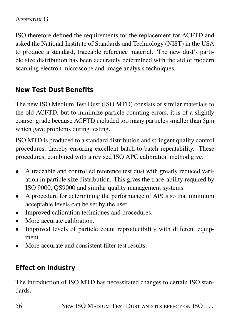<span id="page-55-0"></span>ISO therefore defined the requirements for the replacement for ACFTD and asked the National Institute of Standards and Technology (NIST) in the USA to produce a standard, traceable reference material. The new dust's particle size distribution has been accurately determined with the aid of modern scanning electron microscope and image analysis techniques.

### **New Test Dust Benefits**

The new ISO Medium Test Dust (ISO MTD) consists of similar materials to the old ACFTD, but to minimize particle counting errors, it is of a slightly coarser grade because ACFTD included too many particles smaller than 5µm which gave problems during testing.

ISO MTD is produced to a standard distribution and stringent quality control procedures, thereby ensuring excellent batch-to-batch repeatability. These procedures, combined with a revised ISO APC calibration method give:

- A traceable and controlled reference test dust with greatly reduced variation in particle size distribution. This gives the trace-ability required by ISO 9000, QS9000 and similar quality management systems.
- A procedure for determining the performance of APCs so that minimum acceptable levels can be set by the user.
- Improved calibration techniques and procedures.
- More accurate calibration.
- Improved levels of particle count reproducibility with different equipment.
- More accurate and consistent filter test results.

### **Effect on Industry**

The introduction of ISO MTD has necessitated changes to certain ISO standards.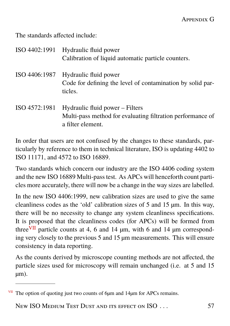The standards affected include:

|               | ISO 4402:1991 Hydraulic fluid power<br>Calibration of liquid automatic particle counters.                          |
|---------------|--------------------------------------------------------------------------------------------------------------------|
| ISO 4406:1987 | Hydraulic fluid power<br>Code for defining the level of contamination by solid par-<br>ticles.                     |
| ISO 4572:1981 | Hydraulic fluid power – Filters<br>Multi-pass method for evaluating filtration performance of<br>a filter element. |

In order that users are not confused by the changes to these standards, particularly by reference to them in technical literature, ISO is updating 4402 to ISO 11171, and 4572 to ISO 16889.

Two standards which concern our industry are the ISO 4406 coding system and the new ISO 16889 Multi-pass test. As APCs will henceforth count particles more accurately, there will now be a change in the way sizes are labelled.

In the new ISO 4406:1999, new calibration sizes are used to give the same cleanliness codes as the 'old' calibration sizes of 5 and 15 µm. In this way, there will be no necessity to change any system cleanliness specifications. It is proposed that the cleanliness codes (for APCs) will be formed from three VII particle counts at 4, 6 and 14  $\mu$ m, with 6 and 14  $\mu$ m corresponding very closely to the previous 5 and 15 µm measurements. This will ensure consistency in data reporting.

As the counts derived by microscope counting methods are not affected, the particle sizes used for microscopy will remain unchanged (i.e. at 5 and 15 µm).

 $\overline{VII}$  The option of quoting just two counts of 6um and 14um for APCs remains.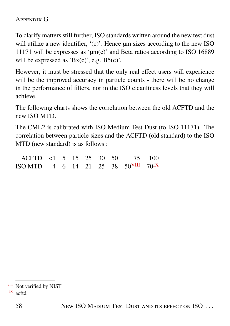To clarify matters still further, ISO standards written around the new test dust will utilize a new identifier,  $(c)$ . Hence  $\mu$ m sizes according to the new ISO 11171 will be expresses as ' $\mu$ m(c)' and Beta ratios according to ISO 16889 will be expressed as ' $Bx(c)$ ', e.g. ' $B5(c)$ '.

However, it must be stressed that the only real effect users will experience will be the improved accuracy in particle counts - there will be no change in the performance of filters, nor in the ISO cleanliness levels that they will achieve.

The following charts shows the correlation between the old ACFTD and the new ISO MTD.

The CML2 is calibrated with ISO Medium Test Dust (to ISO 11171). The correlation between particle sizes and the ACFTD (old standard) to the ISO MTD (new standard) is as follows :

| ACFTD <1 5 15 25 30 50 75 100                               |  |  |  |  |
|-------------------------------------------------------------|--|--|--|--|
| ISO MTD 4 6 14 21 25 38 50 <sup>VIII</sup> 70 <sup>IX</sup> |  |  |  |  |

VIII Not verified by NIST

 $IX$  acftd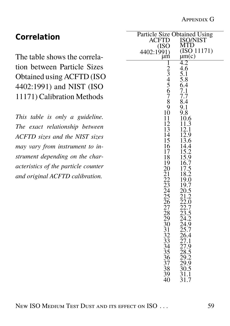### <span id="page-58-0"></span>**Correlation**

The table shows the correlation between Particle Sizes Obtained using ACFTD (ISO 4402:1991) and NIST (ISO 11171) Calibration Methods

*This table is only a guideline. The exact relationship between ACFTD sizes and the NIST sizes may vary from instrument to instrument depending on the characteristics of the particle counter and original ACFTD calibration.*

| Particle Size Obtained Using<br>ACFTD ISO/NIST<br>(ISO MTD |                                                                                                        |
|------------------------------------------------------------|--------------------------------------------------------------------------------------------------------|
|                                                            |                                                                                                        |
|                                                            |                                                                                                        |
| 4402:1991                                                  |                                                                                                        |
|                                                            | $(ISO 11171)$<br>$µm(c)$                                                                               |
|                                                            |                                                                                                        |
|                                                            | $\overline{.2}$<br>$\overline{4}$                                                                      |
|                                                            | $4.\overline{6}$                                                                                       |
|                                                            | $\cdot$                                                                                                |
|                                                            |                                                                                                        |
|                                                            | $\frac{5.8}{6.4}$                                                                                      |
|                                                            |                                                                                                        |
|                                                            | 7.1                                                                                                    |
|                                                            |                                                                                                        |
|                                                            |                                                                                                        |
|                                                            |                                                                                                        |
|                                                            | $7.7$<br>8.4<br>9.1<br>9.8                                                                             |
| T<br>12345678900112345678900112345677890012                | 10.6                                                                                                   |
|                                                            |                                                                                                        |
|                                                            |                                                                                                        |
|                                                            |                                                                                                        |
|                                                            |                                                                                                        |
|                                                            |                                                                                                        |
|                                                            | $\begin{array}{c} 11.3 \\ 12.1 \\ 12.9 \\ 13.6 \\ 14.4 \\ 15.2 \\ 15.9 \\ 16.7 \\ 17.5 \\ \end{array}$ |
|                                                            |                                                                                                        |
|                                                            |                                                                                                        |
|                                                            |                                                                                                        |
|                                                            |                                                                                                        |
|                                                            |                                                                                                        |
|                                                            |                                                                                                        |
|                                                            | $\begin{array}{c} \n 7 \\  18.2 \\  19.0 \\  19.7 \\  0.5\n \end{array}$                               |
|                                                            |                                                                                                        |
|                                                            |                                                                                                        |
|                                                            |                                                                                                        |
|                                                            |                                                                                                        |
|                                                            |                                                                                                        |
|                                                            | $\bar{3}$<br>4                                                                                         |
|                                                            |                                                                                                        |
|                                                            | $^{24}$                                                                                                |
|                                                            |                                                                                                        |
|                                                            | 26                                                                                                     |
|                                                            |                                                                                                        |
|                                                            |                                                                                                        |
|                                                            | 27.<br>28.<br>29.<br>29.                                                                               |
|                                                            |                                                                                                        |
|                                                            |                                                                                                        |
|                                                            | 9                                                                                                      |
|                                                            | 30                                                                                                     |
|                                                            | 1<br>1.                                                                                                |
| 40                                                         | $\bar{3}$<br>1<br>7                                                                                    |
|                                                            |                                                                                                        |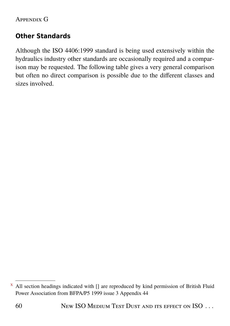### <span id="page-59-0"></span>**Other Standards**

Although the ISO 4406:1999 standard is being used extensively within the hydraulics industry other standards are occasionally required and a comparison may be requested. The following table gives a very general comparison but often no direct comparison is possible due to the different classes and sizes involved.

 $^{\text{x}}$  All section headings indicated with [] are reproduced by kind permission of British Fluid Power Association from BFPA/P5 1999 issue 3 Appendix 44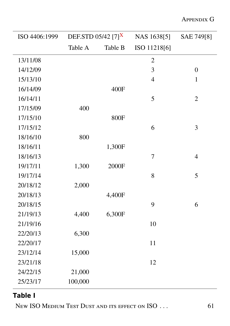<span id="page-60-0"></span>

| ISO 4406:1999 | DEF.STD $05/42$ [7] <sup>X</sup> |         | NAS 1638[5]    | SAE 749[8]       |
|---------------|----------------------------------|---------|----------------|------------------|
|               | Table A                          | Table B | ISO 11218[6]   |                  |
| 13/11/08      |                                  |         | $\mathfrak{2}$ |                  |
| 14/12/09      |                                  |         | 3              | $\boldsymbol{0}$ |
| 15/13/10      |                                  |         | $\overline{4}$ | $\mathbf{1}$     |
| 16/14/09      |                                  | 400F    |                |                  |
| 16/14/11      |                                  |         | 5              | $\overline{2}$   |
| 17/15/09      | 400                              |         |                |                  |
| 17/15/10      |                                  | 800F    |                |                  |
| 17/15/12      |                                  |         | 6              | 3                |
| 18/16/10      | 800                              |         |                |                  |
| 18/16/11      |                                  | 1,300F  |                |                  |
| 18/16/13      |                                  |         | $\tau$         | $\overline{4}$   |
| 19/17/11      | 1,300                            | 2000F   |                |                  |
| 19/17/14      |                                  |         | 8              | 5                |
| 20/18/12      | 2,000                            |         |                |                  |
| 20/18/13      |                                  | 4,400F  |                |                  |
| 20/18/15      |                                  |         | 9              | 6                |
| 21/19/13      | 4,400                            | 6,300F  |                |                  |
| 21/19/16      |                                  |         | 10             |                  |
| 22/20/13      | 6,300                            |         |                |                  |
| 22/20/17      |                                  |         | 11             |                  |
| 23/12/14      | 15,000                           |         |                |                  |
| 23/21/18      |                                  |         | 12             |                  |
| 24/22/15      | 21,000                           |         |                |                  |
| 25/23/17      | 100,000                          |         |                |                  |

### **Table I**

New ISO Medium Test Dust and its effect on ISO ... 61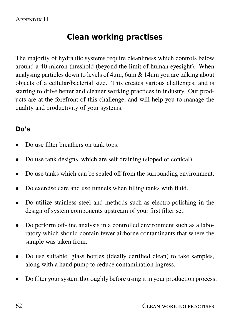#### <span id="page-61-0"></span>Appendix H

# **Clean working practises**

The majority of hydraulic systems require cleanliness which controls below around a 40 micron threshold (beyond the limit of human eyesight). When analysing particles down to levels of 4um, 6um & 14um you are talking about objects of a cellular/bacterial size. This creates various challenges, and is starting to drive better and cleaner working practices in industry. Our products are at the forefront of this challenge, and will help you to manage the quality and productivity of your systems.

### **Do's**

- Do use filter breathers on tank tops.
- Do use tank designs, which are self draining (sloped or conical).
- Do use tanks which can be sealed off from the surrounding environment.
- Do exercise care and use funnels when filling tanks with fluid.
- Do utilize stainless steel and methods such as electro-polishing in the design of system components upstream of your first filter set.
- Do perform off-line analysis in a controlled environment such as a laboratory which should contain fewer airborne contaminants that where the sample was taken from.
- Do use suitable, glass bottles (ideally certified clean) to take samples, along with a hand pump to reduce contamination ingress.
- Do filter your system thoroughly before using it in your production process.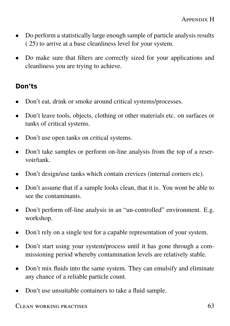- Do perform a statistically large enough sample of particle analysis results ( 25) to arrive at a base cleanliness level for your system.
- Do make sure that filters are correctly sized for your applications and cleanliness you are trying to achieve.

### **Don'ts**

- Don't eat, drink or smoke around critical systems/processes.
- Don't leave tools, objects, clothing or other materials etc. on surfaces or tanks of critical systems.
- Don't use open tanks on critical systems.
- Don't take samples or perform on-line analysis from the top of a reservoir/tank.
- Don't design/use tanks which contain crevices (internal corners etc).
- Don't assume that if a sample looks clean, that it is. You wont be able to see the contaminants.
- Don't perform off-line analysis in an "un-controlled" environment. E.g. workshop.
- Don't rely on a single test for a capable representation of your system.
- Don't start using your system/process until it has gone through a commissioning period whereby contamination levels are relatively stable.
- Don't mix fluids into the same system. They can emulsify and eliminate any chance of a reliable particle count.
- Don't use unsuitable containers to take a fluid sample.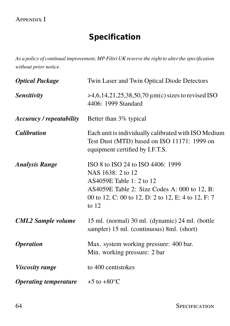# **Specification**

<span id="page-63-0"></span>*As a policy of continual improvement, MP Filtri UK reserve the right to alter the specification without prior notice.*

| <b>Optical Package</b>          | Twin Laser and Twin Optical Diode Detectors                                                                                                                                                          |
|---------------------------------|------------------------------------------------------------------------------------------------------------------------------------------------------------------------------------------------------|
| <b>Sensitivity</b>              | $>4,6,14,21,25,38,50,70 \mu m(c)$ sizes to revised ISO<br>4406: 1999 Standard                                                                                                                        |
| <b>Accuracy / repeatability</b> | Better than $3\%$ typical                                                                                                                                                                            |
| <b>Calibration</b>              | Each unit is individually calibrated with ISO Medium<br>Test Dust (MTD) based on ISO 11171: 1999 on<br>equipment certified by I.F.T.S.                                                               |
| <b>Analysis Range</b>           | ISO 8 to ISO 24 to ISO 4406: 1999<br>NAS 1638: 2 to 12<br>AS4059E Table 1: 2 to 12<br>AS4059E Table 2: Size Codes A: 000 to 12, B:<br>00 to 12, C: 00 to 12, D: 2 to 12, E: 4 to 12, F: 7<br>to $12$ |
| <b>CML2</b> Sample volume       | 15 ml. (normal) 30 ml. (dynamic) 24 ml. (bottle<br>sampler) 15 ml. (continuous) 8ml. (short)                                                                                                         |
| <b>Operation</b>                | Max. system working pressure: 400 bar.<br>Min. working pressure: 2 bar                                                                                                                               |
| <b>Viscosity range</b>          | to 400 centistokes                                                                                                                                                                                   |
| <b>Operating temperature</b>    | $+5$ to $+80^{\circ}$ C                                                                                                                                                                              |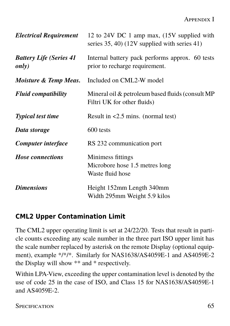#### Appendix I

| <b>Electrical Requirement</b>                    | 12 to 24V DC 1 amp max, (15V supplied with<br>series $35, 40$ (12V supplied with series 41) |
|--------------------------------------------------|---------------------------------------------------------------------------------------------|
| <b>Battery Life (Series 41)</b><br><i>only</i> ) | Internal battery pack performs approx. 60 tests<br>prior to recharge requirement.           |
| <i>Moisture &amp; Temp Meas.</i>                 | Included on CML2-W model                                                                    |
| <b>Fluid compatibility</b>                       | Mineral oil & petroleum based fluids (consult MP)<br>Filtri UK for other fluids)            |
| <b>Typical test time</b>                         | Result in $< 2.5$ mins. (normal test)                                                       |
| Data storage                                     | 600 tests                                                                                   |
| Computer interface                               | RS 232 communication port                                                                   |
| <b>Hose connections</b>                          | Minimess fittings<br>Microbore hose 1.5 metres long<br>Waste fluid hose                     |
| <b>Dimensions</b>                                | Height 152mm Length 340mm<br>Width 295mm Weight 5.9 kilos                                   |

### **CML2 Upper Contamination Limit**

The CML2 upper operating limit is set at 24/22/20. Tests that result in particle counts exceeding any scale number in the three part ISO upper limit has the scale number replaced by asterisk on the remote Display (optional equipment), example \*/\*/\*. Similarly for NAS1638/AS4059E-1 and AS4059E-2 the Display will show \*\* and \* respectively.

Within LPA-View, exceeding the upper contamination level is denoted by the use of code 25 in the case of ISO, and Class 15 for NAS1638/AS4059E-1 and AS4059E-2.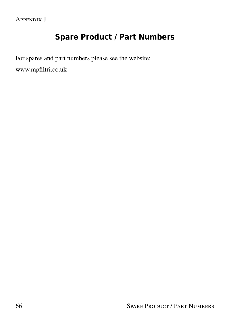<span id="page-65-0"></span>Appendix J

# **Spare Product / Part Numbers**

For spares and part numbers please see the website:

www.mpfiltri.co.uk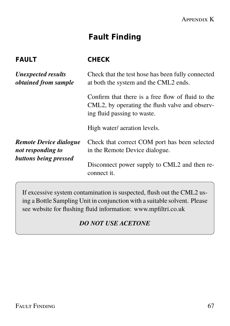# **Fault Finding**

<span id="page-66-0"></span>

| <b>CHECK</b>                                                                                                                       |
|------------------------------------------------------------------------------------------------------------------------------------|
| Check that the test hose has been fully connected<br>at both the system and the CML2 ends.                                         |
| Confirm that there is a free flow of fluid to the<br>CML2, by operating the flush valve and observ-<br>ing fluid passing to waste. |
| High water/aeration levels.                                                                                                        |
| Check that correct COM port has been selected<br>in the Remote Device dialogue.                                                    |
| Disconnect power supply to CML2 and then re-<br>connect it.                                                                        |
|                                                                                                                                    |

If excessive system contamination is suspected, flush out the CML2 using a Bottle Sampling Unit in conjunction with a suitable solvent. Please see website for flushing fluid information: www.mpfiltri.co.uk

### *DO NOT USE ACETONE*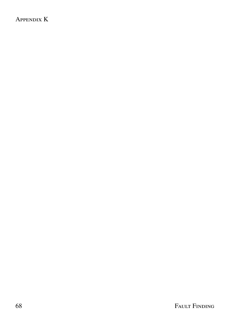### Appendix K